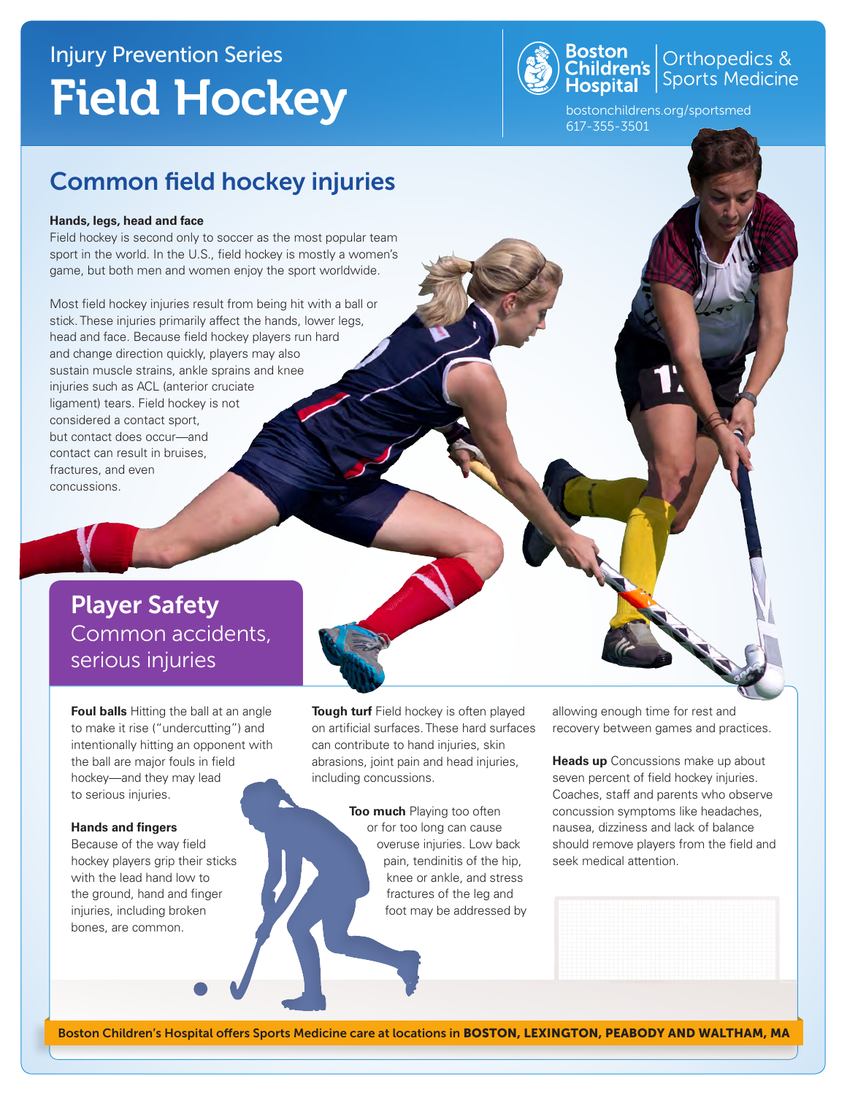# Injury Prevention Series Field Hockey



**Boston**<br>Children's **Children's** Sports Medicine

bostonchildrens.org/sportsmed 617-355-3501

## Common field hockey injuries

#### **Hands, legs, head and face**

Field hockey is second only to soccer as the most popular team sport in the world. In the U.S., field hockey is mostly a women's game, but both men and women enjoy the sport worldwide.

Most field hockey injuries result from being hit with a ball or stick. These injuries primarily affect the hands, lower legs, head and face. Because field hockey players run hard and change direction quickly, players may also sustain muscle strains, ankle sprains and knee injuries such as ACL (anterior cruciate ligament) tears. Field hockey is not considered a contact sport, but contact does occur—and contact can result in bruises, fractures, and even concussions.

## Player Safety Common accidents, serious injuries

**Foul balls** Hitting the ball at an angle to make it rise ("undercutting") and intentionally hitting an opponent with the ball are major fouls in field hockey—and they may lead to serious injuries.

#### **Hands and fingers**

Because of the way field hockey players grip their sticks with the lead hand low to the ground, hand and finger injuries, including broken bones, are common.

**Tough turf** Field hockey is often played on artificial surfaces. These hard surfaces can contribute to hand injuries, skin abrasions, joint pain and head injuries, including concussions.

> **Too much** Playing too often or for too long can cause overuse injuries. Low back pain, tendinitis of the hip, knee or ankle, and stress fractures of the leg and foot may be addressed by

allowing enough time for rest and recovery between games and practices.

**Heads up** Concussions make up about seven percent of field hockey injuries. Coaches, staff and parents who observe concussion symptoms like headaches, nausea, dizziness and lack of balance should remove players from the field and seek medical attention.

Boston Children's Hospital offers Sports Medicine care at locations in BOSTON, LEXINGTON, PEABODY AND WALTHAM, MA